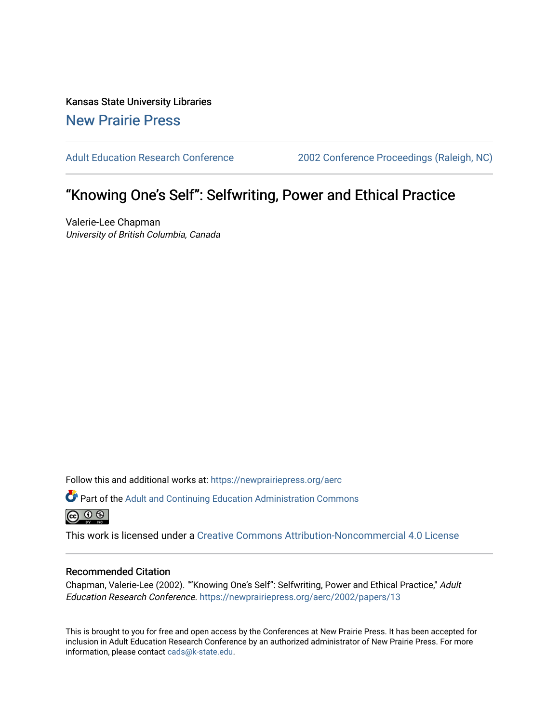Kansas State University Libraries [New Prairie Press](https://newprairiepress.org/) 

[Adult Education Research Conference](https://newprairiepress.org/aerc) [2002 Conference Proceedings \(Raleigh, NC\)](https://newprairiepress.org/aerc/2002) 

# "Knowing One's Self": Selfwriting, Power and Ethical Practice

Valerie-Lee Chapman University of British Columbia, Canada

Follow this and additional works at: [https://newprairiepress.org/aerc](https://newprairiepress.org/aerc?utm_source=newprairiepress.org%2Faerc%2F2002%2Fpapers%2F13&utm_medium=PDF&utm_campaign=PDFCoverPages)

Part of the [Adult and Continuing Education Administration Commons](http://network.bepress.com/hgg/discipline/789?utm_source=newprairiepress.org%2Faerc%2F2002%2Fpapers%2F13&utm_medium=PDF&utm_campaign=PDFCoverPages)  $\circledcirc$ 

This work is licensed under a [Creative Commons Attribution-Noncommercial 4.0 License](https://creativecommons.org/licenses/by-nc/4.0/)

#### Recommended Citation

Chapman, Valerie-Lee (2002). ""Knowing One's Self": Selfwriting, Power and Ethical Practice," Adult Education Research Conference. <https://newprairiepress.org/aerc/2002/papers/13>

This is brought to you for free and open access by the Conferences at New Prairie Press. It has been accepted for inclusion in Adult Education Research Conference by an authorized administrator of New Prairie Press. For more information, please contact [cads@k-state.edu](mailto:cads@k-state.edu).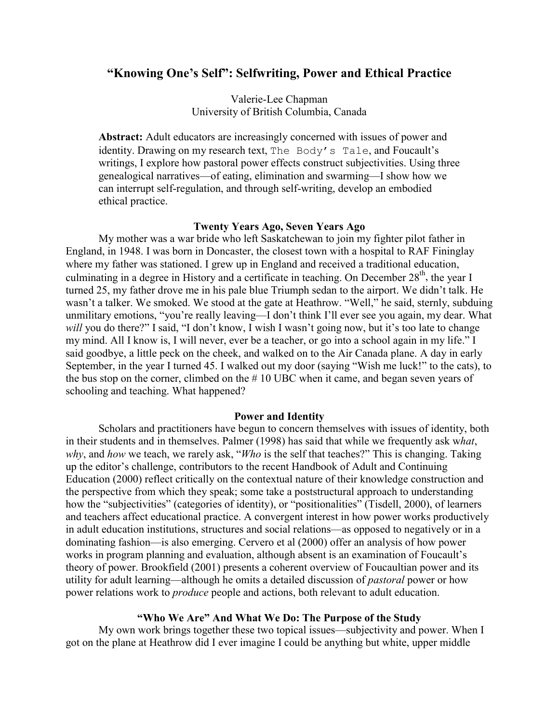## **"Knowing One's Self": Selfwriting, Power and Ethical Practice**

Valerie-Lee Chapman University of British Columbia, Canada

**Abstract:** Adult educators are increasingly concerned with issues of power and identity. Drawing on my research text, The Body's Tale, and Foucault's writings, I explore how pastoral power effects construct subjectivities. Using three genealogical narratives—of eating, elimination and swarming—I show how we can interrupt self-regulation, and through self-writing, develop an embodied ethical practice.

## **Twenty Years Ago, Seven Years Ago**

My mother was a war bride who left Saskatchewan to join my fighter pilot father in England, in 1948. I was born in Doncaster, the closest town with a hospital to RAF Fininglay where my father was stationed. I grew up in England and received a traditional education, culminating in a degree in History and a certificate in teaching. On December 28<sup>th</sup>, the year I turned 25, my father drove me in his pale blue Triumph sedan to the airport. We didn't talk. He wasn't a talker. We smoked. We stood at the gate at Heathrow. "Well," he said, sternly, subduing unmilitary emotions, "you're really leaving—I don't think I'll ever see you again, my dear. What *will* you do there?" I said, "I don't know, I wish I wasn't going now, but it's too late to change my mind. All I know is, I will never, ever be a teacher, or go into a school again in my life." I said goodbye, a little peck on the cheek, and walked on to the Air Canada plane. A day in early September, in the year I turned 45. I walked out my door (saying "Wish me luck!" to the cats), to the bus stop on the corner, climbed on the # 10 UBC when it came, and began seven years of schooling and teaching. What happened?

#### **Power and Identity**

Scholars and practitioners have begun to concern themselves with issues of identity, both in their students and in themselves. Palmer (1998) has said that while we frequently ask w*hat*, *why*, and *how* we teach, we rarely ask, "*Who* is the self that teaches?" This is changing. Taking up the editor's challenge, contributors to the recent Handbook of Adult and Continuing Education (2000) reflect critically on the contextual nature of their knowledge construction and the perspective from which they speak; some take a poststructural approach to understanding how the "subjectivities" (categories of identity), or "positionalities" (Tisdell, 2000), of learners and teachers affect educational practice. A convergent interest in how power works productively in adult education institutions, structures and social relations—as opposed to negatively or in a dominating fashion—is also emerging. Cervero et al (2000) offer an analysis of how power works in program planning and evaluation, although absent is an examination of Foucault's theory of power. Brookfield (2001) presents a coherent overview of Foucaultian power and its utility for adult learning—although he omits a detailed discussion of *pastoral* power or how power relations work to *produce* people and actions, both relevant to adult education.

#### **"Who We Are" And What We Do: The Purpose of the Study**

My own work brings together these two topical issues—subjectivity and power. When I got on the plane at Heathrow did I ever imagine I could be anything but white, upper middle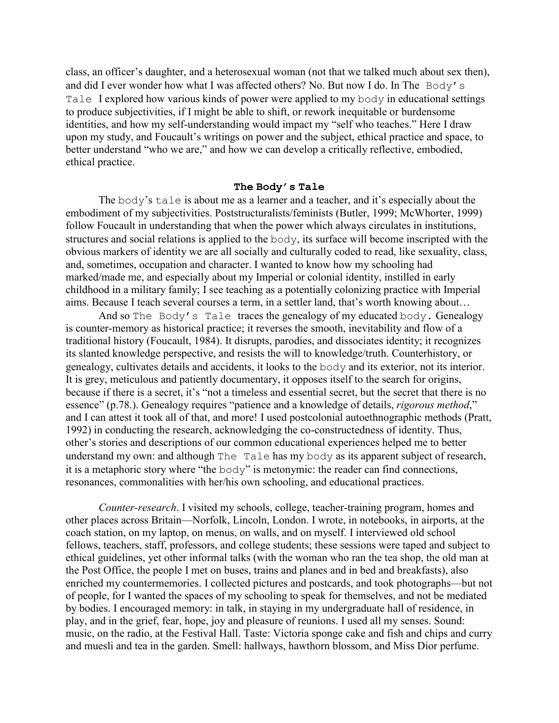class, an officer's daughter, and a heterosexual woman (not that we talked much about sex then), and did I ever wonder how what I was affected others? No. But now I do. In The Body's Tale I explored how various kinds of power were applied to my body in educational settings to produce subjectivities, if I might be able to shift, or rework inequitable or burdensome identities, and how my self-understanding would impact my "self who teaches." Here I draw upon my study, and Foucault's writings on power and the subject, ethical practice and space, to better understand "who we are," and how we can develop a critically reflective, embodied, ethical practice.

#### **The Body's Tale**

The body's tale is about me as a learner and a teacher, and it's especially about the embodiment of my subjectivities. Poststructuralists/feminists (Butler, 1999; McWhorter, 1999) follow Foucault in understanding that when the power which always circulates in institutions, structures and social relations is applied to the body, its surface will become inscripted with the obvious markers of identity we are all socially and culturally coded to read, like sexuality, class, and, sometimes, occupation and character. I wanted to know how my schooling had marked/made me, and especially about my Imperial or colonial identity, instilled in early childhood in a military family; I see teaching as a potentially colonizing practice with Imperial aims. Because I teach several courses a term, in a settler land, that's worth knowing about…

And so The Body's Tale traces the genealogy of my educated body. Genealogy is counter-memory as historical practice; it reverses the smooth, inevitability and flow of a traditional history (Foucault, 1984). It disrupts, parodies, and dissociates identity; it recognizes its slanted knowledge perspective, and resists the will to knowledge/truth. Counterhistory, or genealogy, cultivates details and accidents, it looks to the body and its exterior, not its interior. It is grey, meticulous and patiently documentary, it opposes itself to the search for origins, because if there is a secret, it's "not a timeless and essential secret, but the secret that there is no essence" (p.78.). Genealogy requires "patience and a knowledge of details, *rigorous method*," and I can attest it took all of that, and more! I used postcolonial autoethnographic methods (Pratt, 1992) in conducting the research, acknowledging the co-constructedness of identity. Thus, other's stories and descriptions of our common educational experiences helped me to better understand my own: and although The Tale has my body as its apparent subject of research, it is a metaphoric story where "the body" is metonymic: the reader can find connections, resonances, commonalities with her/his own schooling, and educational practices.

*Counter-research*. I visited my schools, college, teacher-training program, homes and other places across Britain—Norfolk, Lincoln, London. I wrote, in notebooks, in airports, at the coach station, on my laptop, on menus, on walls, and on myself. I interviewed old school fellows, teachers, staff, professors, and college students; these sessions were taped and subject to ethical guidelines, yet other informal talks (with the woman who ran the tea shop, the old man at the Post Office, the people I met on buses, trains and planes and in bed and breakfasts), also enriched my countermemories. I collected pictures and postcards, and took photographs—but not of people, for I wanted the spaces of my schooling to speak for themselves, and not be mediated by bodies. I encouraged memory: in talk, in staying in my undergraduate hall of residence, in play, and in the grief, fear, hope, joy and pleasure of reunions. I used all my senses. Sound: music, on the radio, at the Festival Hall. Taste: Victoria sponge cake and fish and chips and curry and muesli and tea in the garden. Smell: hallways, hawthorn blossom, and Miss Dior perfume.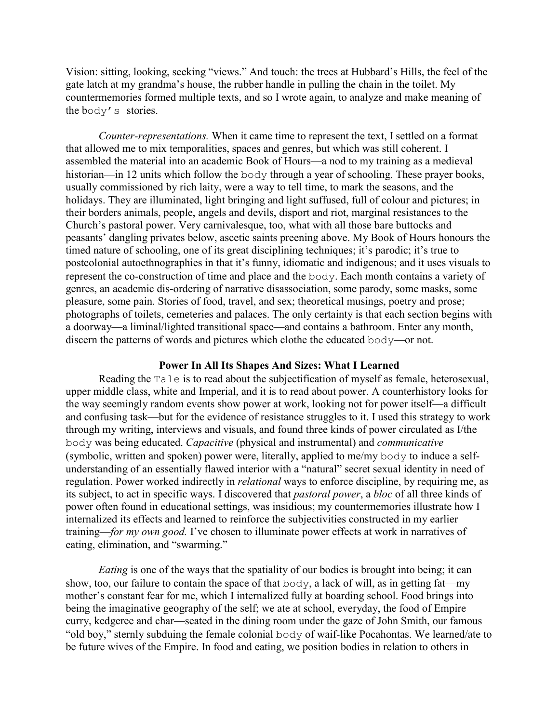Vision: sitting, looking, seeking "views." And touch: the trees at Hubbard's Hills, the feel of the gate latch at my grandma's house, the rubber handle in pulling the chain in the toilet. My countermemories formed multiple texts, and so I wrote again, to analyze and make meaning of the body's stories.

*Counter-representations.* When it came time to represent the text, I settled on a format that allowed me to mix temporalities, spaces and genres, but which was still coherent. I assembled the material into an academic Book of Hours—a nod to my training as a medieval historian—in 12 units which follow the body through a year of schooling. These prayer books, usually commissioned by rich laity, were a way to tell time, to mark the seasons, and the holidays. They are illuminated, light bringing and light suffused, full of colour and pictures; in their borders animals, people, angels and devils, disport and riot, marginal resistances to the Church's pastoral power. Very carnivalesque, too, what with all those bare buttocks and peasants' dangling privates below, ascetic saints preening above. My Book of Hours honours the timed nature of schooling, one of its great disciplining techniques; it's parodic; it's true to postcolonial autoethnographies in that it's funny, idiomatic and indigenous; and it uses visuals to represent the co-construction of time and place and the body. Each month contains a variety of genres, an academic dis-ordering of narrative disassociation, some parody, some masks, some pleasure, some pain. Stories of food, travel, and sex; theoretical musings, poetry and prose; photographs of toilets, cemeteries and palaces. The only certainty is that each section begins with a doorway—a liminal/lighted transitional space—and contains a bathroom. Enter any month, discern the patterns of words and pictures which clothe the educated body—or not.

#### **Power In All Its Shapes And Sizes: What I Learned**

Reading the Tale is to read about the subjectification of myself as female, heterosexual, upper middle class, white and Imperial, and it is to read about power. A counterhistory looks for the way seemingly random events show power at work, looking not for power itself—a difficult and confusing task—but for the evidence of resistance struggles to it. I used this strategy to work through my writing, interviews and visuals, and found three kinds of power circulated as I/the body was being educated. *Capacitive* (physical and instrumental) and *communicative* (symbolic, written and spoken) power were, literally, applied to me/my body to induce a selfunderstanding of an essentially flawed interior with a "natural" secret sexual identity in need of regulation. Power worked indirectly in *relational* ways to enforce discipline, by requiring me, as its subject, to act in specific ways. I discovered that *pastoral power*, a *bloc* of all three kinds of power often found in educational settings, was insidious; my countermemories illustrate how I internalized its effects and learned to reinforce the subjectivities constructed in my earlier training—*for my own good.* I've chosen to illuminate power effects at work in narratives of eating, elimination, and "swarming."

*Eating* is one of the ways that the spatiality of our bodies is brought into being; it can show, too, our failure to contain the space of that body, a lack of will, as in getting fat—my mother's constant fear for me, which I internalized fully at boarding school. Food brings into being the imaginative geography of the self; we ate at school, everyday, the food of Empire curry, kedgeree and char—seated in the dining room under the gaze of John Smith, our famous "old boy," sternly subduing the female colonial body of waif-like Pocahontas. We learned/ate to be future wives of the Empire. In food and eating, we position bodies in relation to others in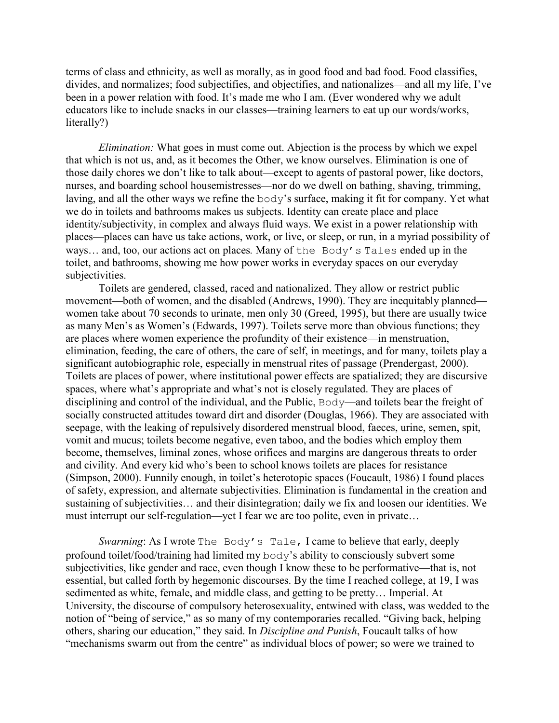terms of class and ethnicity, as well as morally, as in good food and bad food. Food classifies, divides, and normalizes; food subjectifies, and objectifies, and nationalizes—and all my life, I've been in a power relation with food. It's made me who I am. (Ever wondered why we adult educators like to include snacks in our classes—training learners to eat up our words/works, literally?)

*Elimination:* What goes in must come out. Abjection is the process by which we expel that which is not us, and, as it becomes the Other, we know ourselves. Elimination is one of those daily chores we don't like to talk about—except to agents of pastoral power, like doctors, nurses, and boarding school housemistresses—nor do we dwell on bathing, shaving, trimming, laving, and all the other ways we refine the body's surface, making it fit for company. Yet what we do in toilets and bathrooms makes us subjects. Identity can create place and place identity/subjectivity, in complex and always fluid ways. We exist in a power relationship with places—places can have us take actions, work, or live, or sleep, or run, in a myriad possibility of ways… and, too, our actions act on places*.* Many of the Body's Tales ended up in the toilet, and bathrooms, showing me how power works in everyday spaces on our everyday subjectivities.

Toilets are gendered, classed, raced and nationalized. They allow or restrict public movement—both of women, and the disabled (Andrews, 1990). They are inequitably planned women take about 70 seconds to urinate, men only 30 (Greed, 1995), but there are usually twice as many Men's as Women's (Edwards, 1997). Toilets serve more than obvious functions; they are places where women experience the profundity of their existence—in menstruation, elimination, feeding, the care of others, the care of self, in meetings, and for many, toilets play a significant autobiographic role, especially in menstrual rites of passage (Prendergast, 2000). Toilets are places of power, where institutional power effects are spatialized; they are discursive spaces, where what's appropriate and what's not is closely regulated. They are places of disciplining and control of the individual, and the Public, Body—and toilets bear the freight of socially constructed attitudes toward dirt and disorder (Douglas, 1966). They are associated with seepage, with the leaking of repulsively disordered menstrual blood, faeces, urine, semen, spit, vomit and mucus; toilets become negative, even taboo, and the bodies which employ them become, themselves, liminal zones, whose orifices and margins are dangerous threats to order and civility. And every kid who's been to school knows toilets are places for resistance (Simpson, 2000). Funnily enough, in toilet's heterotopic spaces (Foucault, 1986) I found places of safety, expression, and alternate subjectivities. Elimination is fundamental in the creation and sustaining of subjectivities… and their disintegration; daily we fix and loosen our identities. We must interrupt our self-regulation—yet I fear we are too polite, even in private…

*Swarming*: As I wrote The Body's Tale, I came to believe that early, deeply profound toilet/food/training had limited my body's ability to consciously subvert some subjectivities, like gender and race, even though I know these to be performative—that is, not essential, but called forth by hegemonic discourses. By the time I reached college, at 19, I was sedimented as white, female, and middle class, and getting to be pretty… Imperial. At University, the discourse of compulsory heterosexuality, entwined with class, was wedded to the notion of "being of service," as so many of my contemporaries recalled. "Giving back, helping others, sharing our education," they said. In *Discipline and Punish*, Foucault talks of how "mechanisms swarm out from the centre" as individual blocs of power; so were we trained to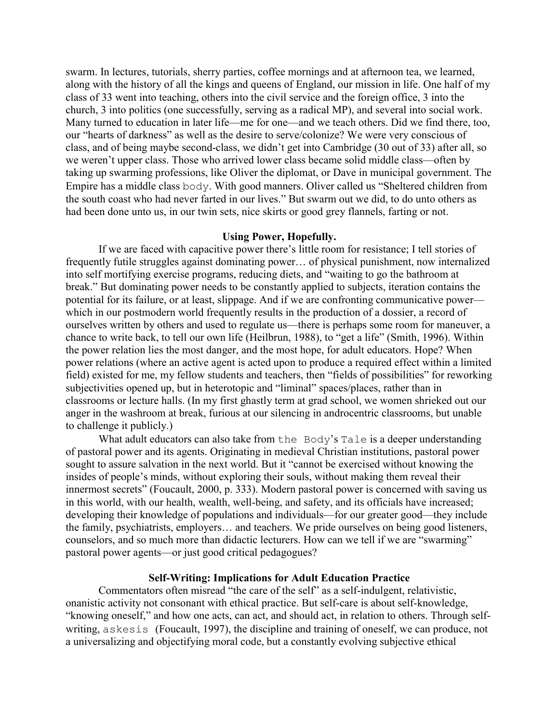swarm. In lectures, tutorials, sherry parties, coffee mornings and at afternoon tea, we learned, along with the history of all the kings and queens of England, our mission in life. One half of my class of 33 went into teaching, others into the civil service and the foreign office, 3 into the church, 3 into politics (one successfully, serving as a radical MP), and several into social work. Many turned to education in later life—me for one—and we teach others. Did we find there, too, our "hearts of darkness" as well as the desire to serve/colonize? We were very conscious of class, and of being maybe second-class, we didn't get into Cambridge (30 out of 33) after all, so we weren't upper class. Those who arrived lower class became solid middle class—often by taking up swarming professions, like Oliver the diplomat, or Dave in municipal government. The Empire has a middle class body. With good manners. Oliver called us "Sheltered children from the south coast who had never farted in our lives." But swarm out we did, to do unto others as had been done unto us, in our twin sets, nice skirts or good grey flannels, farting or not.

## **Using Power, Hopefully.**

If we are faced with capacitive power there's little room for resistance; I tell stories of frequently futile struggles against dominating power… of physical punishment, now internalized into self mortifying exercise programs, reducing diets, and "waiting to go the bathroom at break." But dominating power needs to be constantly applied to subjects, iteration contains the potential for its failure, or at least, slippage. And if we are confronting communicative power which in our postmodern world frequently results in the production of a dossier, a record of ourselves written by others and used to regulate us—there is perhaps some room for maneuver, a chance to write back, to tell our own life (Heilbrun, 1988), to "get a life" (Smith, 1996). Within the power relation lies the most danger, and the most hope, for adult educators. Hope? When power relations (where an active agent is acted upon to produce a required effect within a limited field) existed for me, my fellow students and teachers, then "fields of possibilities" for reworking subjectivities opened up, but in heterotopic and "liminal" spaces/places, rather than in classrooms or lecture halls. (In my first ghastly term at grad school, we women shrieked out our anger in the washroom at break, furious at our silencing in androcentric classrooms, but unable to challenge it publicly.)

What adult educators can also take from the Body's Tale is a deeper understanding of pastoral power and its agents. Originating in medieval Christian institutions, pastoral power sought to assure salvation in the next world. But it "cannot be exercised without knowing the insides of people's minds, without exploring their souls, without making them reveal their innermost secrets" (Foucault, 2000, p. 333). Modern pastoral power is concerned with saving us in this world, with our health, wealth, well-being, and safety, and its officials have increased; developing their knowledge of populations and individuals—for our greater good—they include the family, psychiatrists, employers… and teachers. We pride ourselves on being good listeners, counselors, and so much more than didactic lecturers. How can we tell if we are "swarming" pastoral power agents—or just good critical pedagogues?

## **Self-Writing: Implications for Adult Education Practice**

Commentators often misread "the care of the self" as a self-indulgent, relativistic, onanistic activity not consonant with ethical practice. But self-care is about self-knowledge, "knowing oneself," and how one acts, can act, and should act, in relation to others. Through selfwriting, askesis (Foucault, 1997), the discipline and training of oneself, we can produce, not a universalizing and objectifying moral code, but a constantly evolving subjective ethical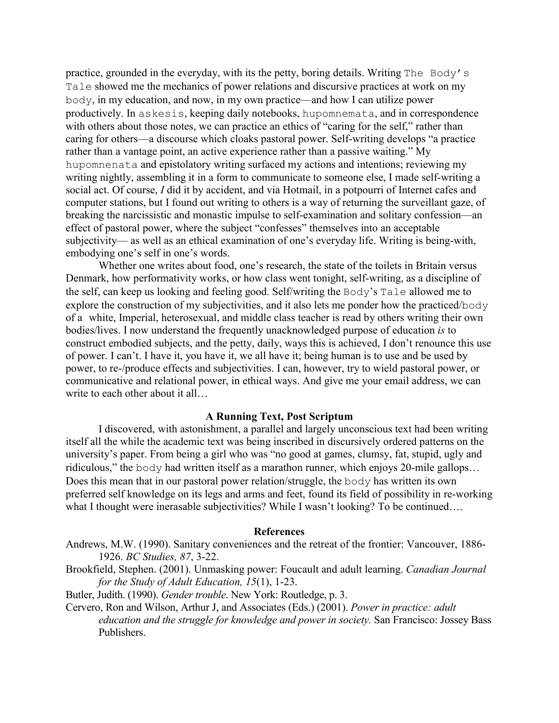practice, grounded in the everyday, with its the petty, boring details. Writing The Body's Tale showed me the mechanics of power relations and discursive practices at work on my body, in my education, and now, in my own practice—and how I can utilize power productively. In askesis, keeping daily notebooks, hupomnemata, and in correspondence with others about those notes, we can practice an ethics of "caring for the self," rather than caring for others—a discourse which cloaks pastoral power. Self-writing develops "a practice rather than a vantage point, an active experience rather than a passive waiting." My hupomnenata and epistolatory writing surfaced my actions and intentions; reviewing my writing nightly, assembling it in a form to communicate to someone else, I made self-writing a social act. Of course, *I* did it by accident, and via Hotmail, in a potpourri of Internet cafes and computer stations, but I found out writing to others is a way of returning the surveillant gaze, of breaking the narcissistic and monastic impulse to self-examination and solitary confession—an effect of pastoral power, where the subject "confesses" themselves into an acceptable subjectivity— as well as an ethical examination of one's everyday life. Writing is being-with, embodying one's self in one's words.

Whether one writes about food, one's research, the state of the toilets in Britain versus Denmark, how performativity works, or how class went tonight, self-writing, as a discipline of the self, can keep us looking and feeling good. Self/writing the Body's Tale allowed me to explore the construction of my subjectivities, and it also lets me ponder how the practiced/body of a white, Imperial, heterosexual, and middle class teacher is read by others writing their own bodies/lives. I now understand the frequently unacknowledged purpose of education *is* to construct embodied subjects, and the petty, daily, ways this is achieved, I don't renounce this use of power. I can't. I have it, you have it, we all have it; being human is to use and be used by power, to re-/produce effects and subjectivities. I can, however, try to wield pastoral power, or communicative and relational power, in ethical ways. And give me your email address, we can write to each other about it all...

## **A Running Text, Post Scriptum**

I discovered, with astonishment, a parallel and largely unconscious text had been writing itself all the while the academic text was being inscribed in discursively ordered patterns on the university's paper. From being a girl who was "no good at games, clumsy, fat, stupid, ugly and ridiculous," the body had written itself as a marathon runner, which enjoys 20-mile gallops… Does this mean that in our pastoral power relation/struggle, the body has written its own preferred self knowledge on its legs and arms and feet, found its field of possibility in re-working what I thought were inerasable subjectivities? While I wasn't looking? To be continued....

#### **References**

- Andrews, M.W. (1990). Sanitary conveniences and the retreat of the frontier: Vancouver, 1886- 1926. *BC Studies, 87*, 3-22.
- Brookfield, Stephen. (2001). Unmasking power: Foucault and adult learning. *Canadian Journal for the Study of Adult Education, 15*(1), 1-23.
- Butler, Judith. (1990). *Gender trouble*. New York: Routledge, p. 3.
- Cervero, Ron and Wilson, Arthur J, and Associates (Eds.) (2001). *Power in practice: adult education and the struggle for knowledge and power in society.* San Francisco: Jossey Bass Publishers.